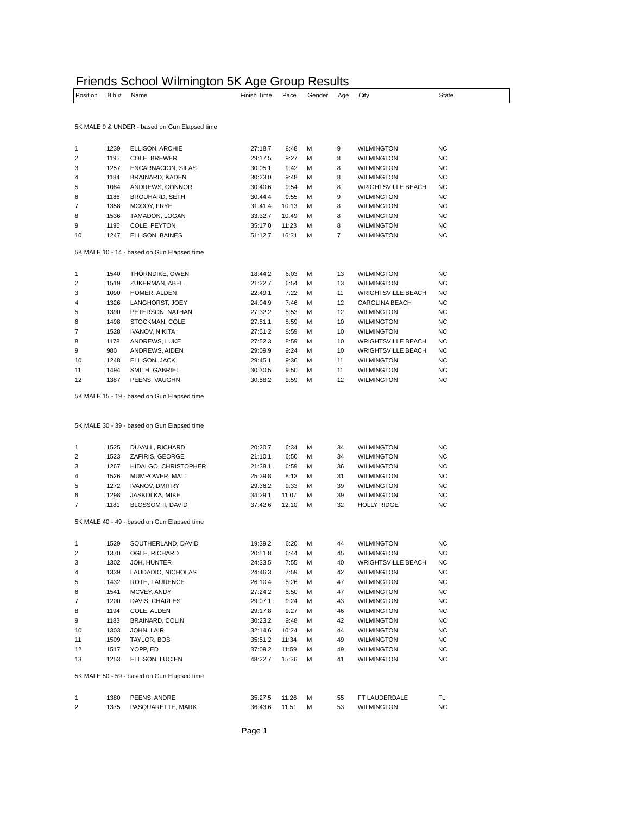|          |       |      | Friends School Wilmington 5K Age Group Results |      |        |          |       |
|----------|-------|------|------------------------------------------------|------|--------|----------|-------|
| Position | Bib # | Name | Finish Time                                    | Pace | Gender | Aae Citv | State |

| r vənuvn                | <del>וו</del> טוט | $1$ vallic                                    |                    | r auc | OCHUCH | nya | ખાy                       | υιαισ     |
|-------------------------|-------------------|-----------------------------------------------|--------------------|-------|--------|-----|---------------------------|-----------|
|                         |                   |                                               |                    |       |        |     |                           |           |
|                         |                   | 5K MALE 9 & UNDER - based on Gun Elapsed time |                    |       |        |     |                           |           |
| 1                       | 1239              | ELLISON, ARCHIE                               | 27:18.7            | 8:48  | М      | 9   | WILMINGTON                | <b>NC</b> |
| $\overline{\mathbf{c}}$ | 1195              | COLE, BREWER                                  | 29:17.5            | 9:27  | М      | 8   | <b>WILMINGTON</b>         | <b>NC</b> |
| 3                       | 1257              | ENCARNACION, SILAS                            | 30:05.1            | 9:42  | М      | 8   | <b>WILMINGTON</b>         | NC        |
| 4                       | 1184              | BRAINARD, KADEN                               | 30:23.0            | 9:48  | М      | 8   | <b>WILMINGTON</b>         | <b>NC</b> |
| 5                       | 1084              | ANDREWS, CONNOR                               | 30:40.6            | 9:54  | М      | 8   | <b>WRIGHTSVILLE BEACH</b> | <b>NC</b> |
| 6                       | 1186              | <b>BROUHARD, SETH</b>                         | 30:44.4            | 9:55  | М      | 9   | <b>WILMINGTON</b>         | <b>NC</b> |
| $\overline{7}$          | 1358              | MCCOY, FRYE                                   | 31:41.4            | 10:13 | М      | 8   | <b>WILMINGTON</b>         | <b>NC</b> |
| 8                       | 1536              | TAMADON, LOGAN                                | 33:32.7            | 10:49 | М      | 8   | <b>WILMINGTON</b>         | NC        |
| 9                       | 1196              | COLE, PEYTON                                  | 35:17.0            | 11:23 | М      | 8   | <b>WILMINGTON</b>         | <b>NC</b> |
| 10                      | 1247              | ELLISON, BAINES                               | 51:12.7            | 16:31 | М      | 7   | WILMINGTON                | NC        |
|                         |                   | 5K MALE 10 - 14 - based on Gun Elapsed time   |                    |       |        |     |                           |           |
| 1                       | 1540              | THORNDIKE, OWEN                               | 18:44.2            | 6:03  | М      | 13  | <b>WILMINGTON</b>         | NC        |
| 2                       | 1519              | ZUKERMAN, ABEL                                | 21:22.7            | 6:54  | М      | 13  | <b>WILMINGTON</b>         | <b>NC</b> |
| 3                       | 1090              |                                               |                    | 7:22  | М      | 11  |                           | NC        |
|                         |                   | HOMER, ALDEN                                  | 22:49.1<br>24:04.9 |       |        |     | <b>WRIGHTSVILLE BEACH</b> |           |
| 4                       | 1326              | LANGHORST, JOEY                               |                    | 7:46  | М      | 12  | CAROLINA BEACH            | NC        |
| 5                       | 1390              | PETERSON, NATHAN                              | 27:32.2            | 8:53  | М      | 12  | <b>WILMINGTON</b>         | <b>NC</b> |
| 6                       | 1498              | STOCKMAN, COLE                                | 27:51.1            | 8:59  | М      | 10  | <b>WILMINGTON</b>         | <b>NC</b> |
| 7                       | 1528              | IVANOV, NIKITA                                | 27:51.2            | 8:59  | М      | 10  | <b>WILMINGTON</b>         | <b>NC</b> |
| 8                       | 1178              | ANDREWS, LUKE                                 | 27:52.3            | 8:59  | М      | 10  | <b>WRIGHTSVILLE BEACH</b> | NC        |
| 9                       | 980               | ANDREWS, AIDEN                                | 29:09.9            | 9:24  | М      | 10  | <b>WRIGHTSVILLE BEACH</b> | <b>NC</b> |
| 10                      | 1248              | ELLISON, JACK                                 | 29:45.1            | 9:36  | М      | 11  | <b>WILMINGTON</b>         | <b>NC</b> |
| 11                      | 1494              | SMITH, GABRIEL                                | 30:30.5            | 9:50  | М      | 11  | <b>WILMINGTON</b>         | NC        |
| 12                      | 1387              | PEENS, VAUGHN                                 | 30:58.2            | 9:59  | М      | 12  | <b>WILMINGTON</b>         | <b>NC</b> |
|                         |                   | 5K MALE 30 - 39 - based on Gun Elapsed time   |                    |       |        |     |                           |           |
| 1                       | 1525              | DUVALL, RICHARD                               | 20:20.7            | 6:34  | М      | 34  | <b>WILMINGTON</b>         | NC        |
| 2                       | 1523              | ZAFIRIS, GEORGE                               | 21:10.1            | 6:50  | М      | 34  | WILMINGTON                | NC        |
| 3                       | 1267              | HIDALGO, CHRISTOPHER                          | 21:38.1            | 6:59  | М      | 36  | <b>WILMINGTON</b>         | <b>NC</b> |
| 4                       | 1526              | MUMPOWER, MATT                                | 25:29.8            | 8:13  | М      | 31  | <b>WILMINGTON</b>         | <b>NC</b> |
| 5                       | 1272              | IVANOV, DMITRY                                | 29:36.2            | 9:33  | М      | 39  | <b>WILMINGTON</b>         | <b>NC</b> |
| 6                       | 1298              | JASKOLKA, MIKE                                | 34:29.1            | 11:07 | М      | 39  | <b>WILMINGTON</b>         | NC        |
| 7                       | 1181              | BLOSSOM II, DAVID                             | 37:42.6            | 12:10 | М      | 32  | <b>HOLLY RIDGE</b>        | <b>NC</b> |
|                         |                   | 5K MALE 40 - 49 - based on Gun Elapsed time   |                    |       |        |     |                           |           |
| 1                       | 1529              | SOUTHERLAND, DAVID                            | 19:39.2            | 6:20  | М      | 44  | <b>WILMINGTON</b>         | NC        |
| 2                       | 1370              | OGLE, RICHARD                                 | 20:51.8            | 6:44  | М      | 45  | <b>WILMINGTON</b>         | <b>NC</b> |
| 3                       | 1302              | JOH, HUNTER                                   | 24:33.5            | 7:55  | М      | 40  | <b>WRIGHTSVILLE BEACH</b> | NC        |
| 4                       | 1339              | LAUDADIO, NICHOLAS                            | 24:46.3            | 7:59  | М      | 42  | WILMINGTON                | NC.       |
| 5                       | 1432              | ROTH, LAURENCE                                | 26:10.4            | 8:26  | М      | 47  | WILMINGTON                | NC.       |
| 6                       | 1541              | MCVEY, ANDY                                   | 27:24.2            | 8:50  | М      | 47  | WILMINGTON                | NC.       |
| $\overline{7}$          | 1200              | DAVIS, CHARLES                                | 29:07.1            | 9:24  | М      | 43  | <b>WILMINGTON</b>         | NC.       |
| 8                       | 1194              | COLE, ALDEN                                   | 29:17.8            | 9:27  | М      | 46  | <b>WILMINGTON</b>         | NC.       |
| 9                       | 1183              | BRAINARD, COLIN                               | 30:23.2            | 9:48  | М      | 42  | WILMINGTON                | NC.       |
| 10                      | 1303              | JOHN, LAIR                                    | 32:14.6            | 10:24 | М      | 44  | WILMINGTON                | NC.       |
| 11                      | 1509              | TAYLOR, BOB                                   | 35:51.2            | 11:34 | М      | 49  | WILMINGTON                | NC.       |
| 12                      | 1517              | YOPP, ED                                      | 37:09.2            | 11:59 | М      | 49  | WILMINGTON                | NC.       |
| 13                      | 1253              | ELLISON, LUCIEN                               | 48:22.7            | 15:36 | М      | 41  | WILMINGTON                | NC.       |
|                         |                   |                                               |                    |       |        |     |                           |           |
|                         |                   | 5K MALE 50 - 59 - based on Gun Elapsed time   |                    |       |        |     |                           |           |
| 1                       | 1380              | PEENS, ANDRE                                  | 35:27.5            | 11:26 | Μ      | 55  | FT LAUDERDALE             | FL.       |
| $\overline{c}$          | 1375              | PASQUARETTE, MARK                             | 36:43.6            | 11:51 | М      | 53  | <b>WILMINGTON</b>         | NC        |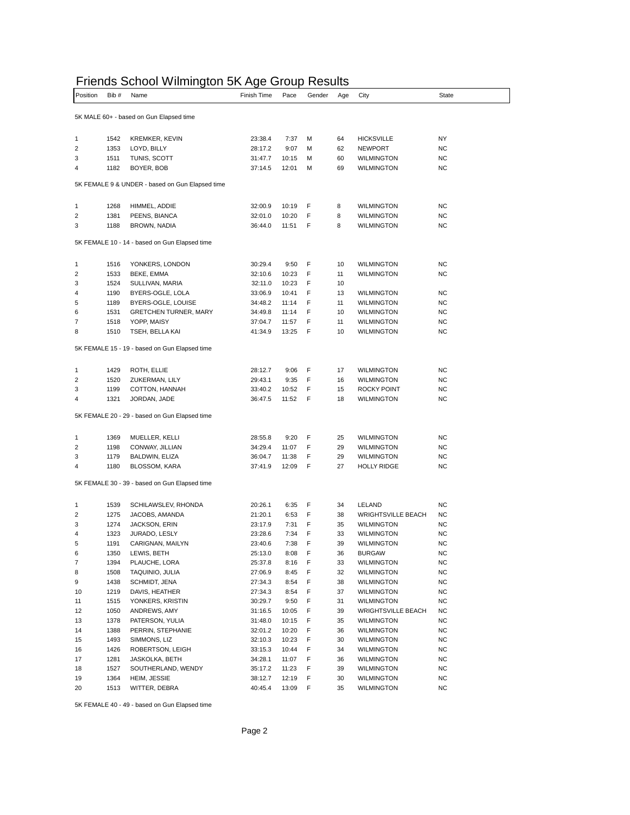## Friends School Wilmington 5K Age Group Results

| Position                                | Bib # | .<br>,,, ,, , ,<br>Name                         | Finish Time | Pace  | Gender | Age | City                      | State     |  |
|-----------------------------------------|-------|-------------------------------------------------|-------------|-------|--------|-----|---------------------------|-----------|--|
|                                         |       |                                                 |             |       |        |     |                           |           |  |
| 5K MALE 60+ - based on Gun Elapsed time |       |                                                 |             |       |        |     |                           |           |  |
| 1                                       | 1542  | <b>KREMKER, KEVIN</b>                           | 23:38.4     | 7:37  | М      | 64  | HICKSVILLE                | NY        |  |
| 2                                       | 1353  | LOYD, BILLY                                     | 28:17.2     | 9:07  | М      | 62  | NEWPORT                   | NC        |  |
| 3                                       | 1511  | TUNIS, SCOTT                                    | 31:47.7     | 10:15 | М      | 60  | WILMINGTON                | NC        |  |
| 4                                       | 1182  | BOYER, BOB                                      | 37:14.5     | 12:01 | M      | 69  | <b>WILMINGTON</b>         | NC        |  |
|                                         |       | 5K FEMALE 9 & UNDER - based on Gun Elapsed time |             |       |        |     |                           |           |  |
| 1                                       | 1268  | HIMMEL, ADDIE                                   | 32:00.9     | 10:19 | F      | 8   | <b>WILMINGTON</b>         | NC        |  |
| 2                                       | 1381  | PEENS, BIANCA                                   | 32:01.0     | 10:20 | F      | 8   | <b>WILMINGTON</b>         | <b>NC</b> |  |
| 3                                       | 1188  | <b>BROWN, NADIA</b>                             | 36:44.0     | 11:51 | F      | 8   | WILMINGTON                | NC        |  |
|                                         |       | 5K FEMALE 10 - 14 - based on Gun Elapsed time   |             |       |        |     |                           |           |  |
|                                         |       |                                                 |             |       |        |     |                           |           |  |
| 1                                       | 1516  | YONKERS, LONDON                                 | 30:29.4     | 9:50  | F      | 10  | <b>WILMINGTON</b>         | <b>NC</b> |  |
| 2                                       | 1533  | BEKE, EMMA                                      | 32:10.6     | 10:23 | F      | 11  | WILMINGTON                | NC        |  |
| 3                                       | 1524  | SULLIVAN, MARIA                                 | 32:11.0     | 10:23 | F      | 10  |                           |           |  |
| 4                                       | 1190  | BYERS-OGLE, LOLA                                | 33:06.9     | 10:41 | F      | 13  | <b>WILMINGTON</b>         | NC        |  |
| 5                                       | 1189  | BYERS-OGLE, LOUISE                              | 34:48.2     | 11:14 | F      | 11  | <b>WILMINGTON</b>         | <b>NC</b> |  |
| 6                                       | 1531  | <b>GRETCHEN TURNER, MARY</b>                    | 34:49.8     | 11:14 | F      | 10  | WILMINGTON                | NC        |  |
| 7                                       | 1518  | YOPP, MAISY                                     | 37:04.7     | 11:57 | F      | 11  | <b>WILMINGTON</b>         | NC        |  |
| 8                                       | 1510  | TSEH, BELLA KAI                                 | 41:34.9     | 13:25 | F      | 10  | <b>WILMINGTON</b>         | <b>NC</b> |  |
|                                         |       | 5K FEMALE 15 - 19 - based on Gun Elapsed time   |             |       |        |     |                           |           |  |
| 1                                       | 1429  | ROTH, ELLIE                                     | 28:12.7     | 9:06  | F      | 17  | <b>WILMINGTON</b>         | NC        |  |
| 2                                       | 1520  | ZUKERMAN, LILY                                  | 29:43.1     | 9:35  | F      | 16  | <b>WILMINGTON</b>         | NC        |  |
| 3                                       | 1199  | COTTON, HANNAH                                  | 33:40.2     | 10:52 | F      | 15  | ROCKY POINT               | NC        |  |
| 4                                       | 1321  | JORDAN, JADE                                    | 36:47.5     | 11:52 | F      | 18  | WILMINGTON                | NC        |  |
|                                         |       | 5K FEMALE 20 - 29 - based on Gun Elapsed time   |             |       |        |     |                           |           |  |
|                                         |       |                                                 |             |       |        |     |                           |           |  |
| 1                                       | 1369  | MUELLER, KELLI                                  | 28:55.8     | 9:20  | F      | 25  | <b>WILMINGTON</b>         | NC        |  |
| 2                                       | 1198  | CONWAY, JILLIAN                                 | 34:29.4     | 11:07 | F      | 29  | WILMINGTON                | NC        |  |
| 3                                       | 1179  | BALDWIN, ELIZA                                  | 36:04.7     | 11:38 | F      | 29  | <b>WILMINGTON</b>         | NC        |  |
| 4                                       | 1180  | BLOSSOM, KARA                                   | 37:41.9     | 12:09 | F      | 27  | HOLLY RIDGE               | NC        |  |
|                                         |       | 5K FEMALE 30 - 39 - based on Gun Elapsed time   |             |       |        |     |                           |           |  |
| 1                                       | 1539  | SCHILAWSLEV, RHONDA                             | 20:26.1     | 6:35  | F      | 34  | LELAND                    | NC        |  |
| 2                                       | 1275  | JACOBS, AMANDA                                  | 21:20.1     | 6:53  | F      | 38  | <b>WRIGHTSVILLE BEACH</b> | NC        |  |
| 3                                       | 1274  | JACKSON, ERIN                                   | 23:17.9     | 7:31  | F      | 35  | WILMINGTON                | NC        |  |
| 4                                       | 1323  | JURADO, LESLY                                   | 23:28.6     | 7:34  | F      | 33  | <b>WILMINGTON</b>         | <b>NC</b> |  |
| 5                                       | 1191  | CARIGNAN, MAILYN                                | 23:40.6     | 7:38  | F      | 39  | <b>WILMINGTON</b>         | <b>NC</b> |  |
| 6                                       | 1350  | LEWIS, BETH                                     | 25:13.0     | 8:08  | F      | 36  | <b>BURGAW</b>             | <b>NC</b> |  |
| 7                                       | 1394  | PLAUCHE, LORA                                   | 25:37.8     | 8:16  | F      | 33  | <b>WILMINGTON</b>         | <b>NC</b> |  |
| 8                                       | 1508  | TAQUINIO, JULIA                                 | 27:06.9     | 8:45  | F      | 32  | <b>WILMINGTON</b>         | <b>NC</b> |  |
| 9                                       | 1438  | SCHMIDT, JENA                                   | 27:34.3     | 8:54  | F      | 38  | <b>WILMINGTON</b>         | <b>NC</b> |  |
|                                         |       | DAVIS, HEATHER                                  |             |       |        |     |                           |           |  |
| 10                                      | 1219  |                                                 | 27:34.3     | 8:54  | F      | 37  | <b>WILMINGTON</b>         | <b>NC</b> |  |
| 11                                      | 1515  | YONKERS, KRISTIN                                | 30:29.7     | 9:50  | F      | 31  | <b>WILMINGTON</b>         | <b>NC</b> |  |
| 12                                      | 1050  | ANDREWS, AMY                                    | 31:16.5     | 10:05 | F      | 39  | <b>WRIGHTSVILLE BEACH</b> | NC.       |  |
| 13                                      | 1378  | PATERSON, YULIA                                 | 31:48.0     | 10:15 | F      | 35  | <b>WILMINGTON</b>         | <b>NC</b> |  |
| 14                                      | 1388  | PERRIN, STEPHANIE                               | 32:01.2     | 10:20 | F      | 36  | WILMINGTON                | <b>NC</b> |  |
| 15                                      | 1493  | SIMMONS, LIZ                                    | 32:10.3     | 10:23 | F      | 30  | WILMINGTON                | <b>NC</b> |  |
| 16                                      | 1426  | ROBERTSON, LEIGH                                | 33:15.3     | 10:44 | F      | 34  | WILMINGTON                | <b>NC</b> |  |
| 17                                      | 1281  | JASKOLKA, BETH                                  | 34:28.1     | 11:07 | F      | 36  | <b>WILMINGTON</b>         | <b>NC</b> |  |
| 18                                      | 1527  | SOUTHERLAND, WENDY                              | 35:17.2     | 11:23 | F      | 39  | <b>WILMINGTON</b>         | <b>NC</b> |  |
| 19                                      | 1364  | HEIM, JESSIE                                    | 38:12.7     | 12:19 | F      | 30  | <b>WILMINGTON</b>         | NC        |  |
| 20                                      | 1513  | WITTER, DEBRA                                   | 40:45.4     | 13:09 | F      | 35  | <b>WILMINGTON</b>         | NC        |  |

5K FEMALE 40 - 49 - based on Gun Elapsed time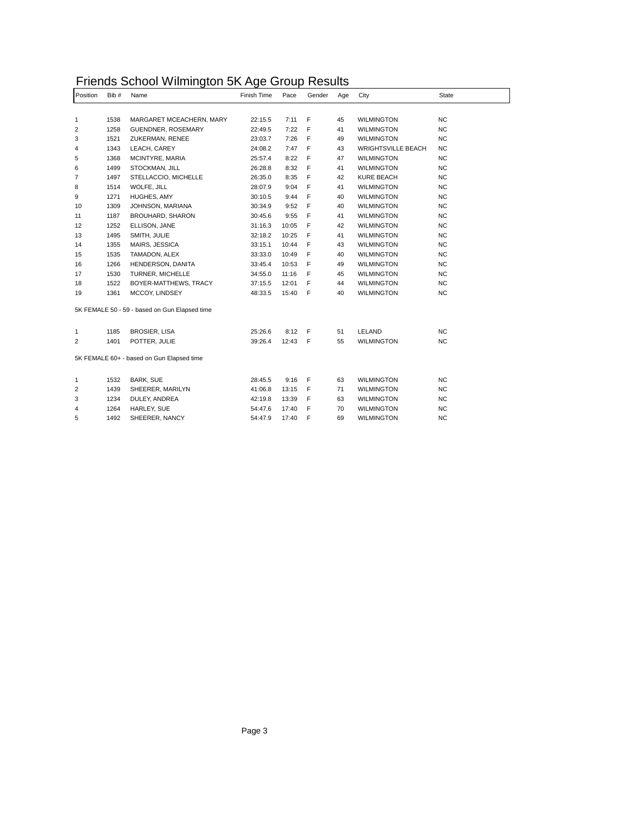| Friends School Wilmington 5K Age Group Results |  |  |
|------------------------------------------------|--|--|
|------------------------------------------------|--|--|

| <b>NC</b><br>1538<br>MARGARET MCEACHERN, MARY<br>22:15.5<br>7:11<br>F<br><b>WILMINGTON</b><br>1<br>45<br><b>NC</b><br>F<br>2<br>1258<br>GUENDNER, ROSEMARY<br>22:49.5<br>7:22<br>41<br><b>WILMINGTON</b><br><b>NC</b><br>3<br>7:26<br>F<br>1521<br>ZUKERMAN, RENEE<br>23:03.7<br>49<br><b>WILMINGTON</b><br>7:47<br>F<br><b>NC</b><br>4<br>1343<br>LEACH, CAREY<br>24:08.2<br>43<br><b>WRIGHTSVILLE BEACH</b><br>8:22<br>47<br>NC<br>5<br>1368<br>MCINTYRE, MARIA<br>25:57.4<br>F<br><b>WILMINGTON</b><br>8:32<br>NC<br>6<br>1499<br>STOCKMAN, JILL<br>26:28.8<br>F<br>41<br><b>WILMINGTON</b><br>8:35<br>F<br>42<br>NC<br>7<br>1497<br>STELLACCIO, MICHELLE<br>26:35.0<br><b>KURE BEACH</b><br>F<br>41<br>NC<br>8<br>1514<br>WOLFE, JILL<br>28:07.9<br>9:04<br><b>WILMINGTON</b><br>NC<br>9<br>1271<br>HUGHES, AMY<br>30:10.5<br>9:44<br>F<br>40<br><b>WILMINGTON</b><br><b>NC</b><br>10<br>1309<br>JOHNSON, MARIANA<br>30:34.9<br>9:52<br>F<br>40<br><b>WILMINGTON</b><br><b>NC</b><br>9:55<br>F<br>11<br>1187<br>BROUHARD, SHARON<br>30:45.6<br>41<br><b>WILMINGTON</b><br>NC<br>12<br>1252<br>10:05<br>F<br>42<br>ELLISON, JANE<br>31:16.3<br><b>WILMINGTON</b><br>1495<br>32:18.2<br>10:25<br>F<br>41<br>NC<br>13<br>SMITH, JULIE<br><b>WILMINGTON</b><br>33:15.1<br>10:44<br>F<br>NC<br>14<br>1355<br>MAIRS, JESSICA<br>43<br><b>WILMINGTON</b><br>33:33.0<br>10:49<br>F<br>40<br>NC<br>15<br>1535<br>TAMADON, ALEX<br><b>WILMINGTON</b><br>16<br>F<br>NC<br>1266<br>HENDERSON, DANITA<br>33:45.4<br>10:53<br>49<br><b>WILMINGTON</b><br>17<br>34:55.0<br>F<br>NC<br>1530<br>TURNER, MICHELLE<br>11:16<br>45<br><b>WILMINGTON</b><br>F<br>NC<br>18<br>1522<br>BOYER-MATTHEWS, TRACY<br>37:15.5<br>12:01<br>44<br><b>WILMINGTON</b><br>F<br>NC<br>19<br>1361<br>MCCOY, LINDSEY<br>48:33.5<br>15:40<br>40<br><b>WILMINGTON</b><br>5K FEMALE 50 - 59 - based on Gun Elapsed time<br>1185<br><b>BROSIER, LISA</b><br>25:26.6<br>8:12<br>F<br>LELAND<br><b>NC</b><br>51<br>1<br>1401<br>POTTER, JULIE<br><b>WILMINGTON</b><br><b>NC</b><br>2<br>39:26.4<br>12:43 F<br>55<br>5K FEMALE 60+ - based on Gun Elapsed time<br>F<br>NC<br>1532<br>BARK, SUE<br>9:16<br><b>WILMINGTON</b><br>1<br>28:45.5<br>63<br>NC<br>2<br>1439<br>SHEERER, MARILYN<br>41:06.8<br>13:15<br>F<br>71<br><b>WILMINGTON</b><br>3<br>1234<br>42:19.8<br>13:39<br>F<br><b>WILMINGTON</b><br><b>NC</b><br>DULEY, ANDREA<br>63<br>NC<br>4<br>1264<br>HARLEY, SUE<br>54:47.6<br>17:40<br>F<br>70<br><b>WILMINGTON</b> | Position | Bib # | Name | Finish Time | Pace | Gender | Age | City | State |
|-------------------------------------------------------------------------------------------------------------------------------------------------------------------------------------------------------------------------------------------------------------------------------------------------------------------------------------------------------------------------------------------------------------------------------------------------------------------------------------------------------------------------------------------------------------------------------------------------------------------------------------------------------------------------------------------------------------------------------------------------------------------------------------------------------------------------------------------------------------------------------------------------------------------------------------------------------------------------------------------------------------------------------------------------------------------------------------------------------------------------------------------------------------------------------------------------------------------------------------------------------------------------------------------------------------------------------------------------------------------------------------------------------------------------------------------------------------------------------------------------------------------------------------------------------------------------------------------------------------------------------------------------------------------------------------------------------------------------------------------------------------------------------------------------------------------------------------------------------------------------------------------------------------------------------------------------------------------------------------------------------------------------------------------------------------------------------------------------------------------------------------------------------------------------------------------------------------------------------------------------------------------------------------------------------------------------------------------------------------------------------------------------------------------------------------------------------------------------------------------|----------|-------|------|-------------|------|--------|-----|------|-------|
|                                                                                                                                                                                                                                                                                                                                                                                                                                                                                                                                                                                                                                                                                                                                                                                                                                                                                                                                                                                                                                                                                                                                                                                                                                                                                                                                                                                                                                                                                                                                                                                                                                                                                                                                                                                                                                                                                                                                                                                                                                                                                                                                                                                                                                                                                                                                                                                                                                                                                           |          |       |      |             |      |        |     |      |       |
|                                                                                                                                                                                                                                                                                                                                                                                                                                                                                                                                                                                                                                                                                                                                                                                                                                                                                                                                                                                                                                                                                                                                                                                                                                                                                                                                                                                                                                                                                                                                                                                                                                                                                                                                                                                                                                                                                                                                                                                                                                                                                                                                                                                                                                                                                                                                                                                                                                                                                           |          |       |      |             |      |        |     |      |       |
|                                                                                                                                                                                                                                                                                                                                                                                                                                                                                                                                                                                                                                                                                                                                                                                                                                                                                                                                                                                                                                                                                                                                                                                                                                                                                                                                                                                                                                                                                                                                                                                                                                                                                                                                                                                                                                                                                                                                                                                                                                                                                                                                                                                                                                                                                                                                                                                                                                                                                           |          |       |      |             |      |        |     |      |       |
|                                                                                                                                                                                                                                                                                                                                                                                                                                                                                                                                                                                                                                                                                                                                                                                                                                                                                                                                                                                                                                                                                                                                                                                                                                                                                                                                                                                                                                                                                                                                                                                                                                                                                                                                                                                                                                                                                                                                                                                                                                                                                                                                                                                                                                                                                                                                                                                                                                                                                           |          |       |      |             |      |        |     |      |       |
|                                                                                                                                                                                                                                                                                                                                                                                                                                                                                                                                                                                                                                                                                                                                                                                                                                                                                                                                                                                                                                                                                                                                                                                                                                                                                                                                                                                                                                                                                                                                                                                                                                                                                                                                                                                                                                                                                                                                                                                                                                                                                                                                                                                                                                                                                                                                                                                                                                                                                           |          |       |      |             |      |        |     |      |       |
|                                                                                                                                                                                                                                                                                                                                                                                                                                                                                                                                                                                                                                                                                                                                                                                                                                                                                                                                                                                                                                                                                                                                                                                                                                                                                                                                                                                                                                                                                                                                                                                                                                                                                                                                                                                                                                                                                                                                                                                                                                                                                                                                                                                                                                                                                                                                                                                                                                                                                           |          |       |      |             |      |        |     |      |       |
|                                                                                                                                                                                                                                                                                                                                                                                                                                                                                                                                                                                                                                                                                                                                                                                                                                                                                                                                                                                                                                                                                                                                                                                                                                                                                                                                                                                                                                                                                                                                                                                                                                                                                                                                                                                                                                                                                                                                                                                                                                                                                                                                                                                                                                                                                                                                                                                                                                                                                           |          |       |      |             |      |        |     |      |       |
|                                                                                                                                                                                                                                                                                                                                                                                                                                                                                                                                                                                                                                                                                                                                                                                                                                                                                                                                                                                                                                                                                                                                                                                                                                                                                                                                                                                                                                                                                                                                                                                                                                                                                                                                                                                                                                                                                                                                                                                                                                                                                                                                                                                                                                                                                                                                                                                                                                                                                           |          |       |      |             |      |        |     |      |       |
|                                                                                                                                                                                                                                                                                                                                                                                                                                                                                                                                                                                                                                                                                                                                                                                                                                                                                                                                                                                                                                                                                                                                                                                                                                                                                                                                                                                                                                                                                                                                                                                                                                                                                                                                                                                                                                                                                                                                                                                                                                                                                                                                                                                                                                                                                                                                                                                                                                                                                           |          |       |      |             |      |        |     |      |       |
|                                                                                                                                                                                                                                                                                                                                                                                                                                                                                                                                                                                                                                                                                                                                                                                                                                                                                                                                                                                                                                                                                                                                                                                                                                                                                                                                                                                                                                                                                                                                                                                                                                                                                                                                                                                                                                                                                                                                                                                                                                                                                                                                                                                                                                                                                                                                                                                                                                                                                           |          |       |      |             |      |        |     |      |       |
|                                                                                                                                                                                                                                                                                                                                                                                                                                                                                                                                                                                                                                                                                                                                                                                                                                                                                                                                                                                                                                                                                                                                                                                                                                                                                                                                                                                                                                                                                                                                                                                                                                                                                                                                                                                                                                                                                                                                                                                                                                                                                                                                                                                                                                                                                                                                                                                                                                                                                           |          |       |      |             |      |        |     |      |       |
|                                                                                                                                                                                                                                                                                                                                                                                                                                                                                                                                                                                                                                                                                                                                                                                                                                                                                                                                                                                                                                                                                                                                                                                                                                                                                                                                                                                                                                                                                                                                                                                                                                                                                                                                                                                                                                                                                                                                                                                                                                                                                                                                                                                                                                                                                                                                                                                                                                                                                           |          |       |      |             |      |        |     |      |       |
|                                                                                                                                                                                                                                                                                                                                                                                                                                                                                                                                                                                                                                                                                                                                                                                                                                                                                                                                                                                                                                                                                                                                                                                                                                                                                                                                                                                                                                                                                                                                                                                                                                                                                                                                                                                                                                                                                                                                                                                                                                                                                                                                                                                                                                                                                                                                                                                                                                                                                           |          |       |      |             |      |        |     |      |       |
|                                                                                                                                                                                                                                                                                                                                                                                                                                                                                                                                                                                                                                                                                                                                                                                                                                                                                                                                                                                                                                                                                                                                                                                                                                                                                                                                                                                                                                                                                                                                                                                                                                                                                                                                                                                                                                                                                                                                                                                                                                                                                                                                                                                                                                                                                                                                                                                                                                                                                           |          |       |      |             |      |        |     |      |       |
|                                                                                                                                                                                                                                                                                                                                                                                                                                                                                                                                                                                                                                                                                                                                                                                                                                                                                                                                                                                                                                                                                                                                                                                                                                                                                                                                                                                                                                                                                                                                                                                                                                                                                                                                                                                                                                                                                                                                                                                                                                                                                                                                                                                                                                                                                                                                                                                                                                                                                           |          |       |      |             |      |        |     |      |       |
|                                                                                                                                                                                                                                                                                                                                                                                                                                                                                                                                                                                                                                                                                                                                                                                                                                                                                                                                                                                                                                                                                                                                                                                                                                                                                                                                                                                                                                                                                                                                                                                                                                                                                                                                                                                                                                                                                                                                                                                                                                                                                                                                                                                                                                                                                                                                                                                                                                                                                           |          |       |      |             |      |        |     |      |       |
|                                                                                                                                                                                                                                                                                                                                                                                                                                                                                                                                                                                                                                                                                                                                                                                                                                                                                                                                                                                                                                                                                                                                                                                                                                                                                                                                                                                                                                                                                                                                                                                                                                                                                                                                                                                                                                                                                                                                                                                                                                                                                                                                                                                                                                                                                                                                                                                                                                                                                           |          |       |      |             |      |        |     |      |       |
|                                                                                                                                                                                                                                                                                                                                                                                                                                                                                                                                                                                                                                                                                                                                                                                                                                                                                                                                                                                                                                                                                                                                                                                                                                                                                                                                                                                                                                                                                                                                                                                                                                                                                                                                                                                                                                                                                                                                                                                                                                                                                                                                                                                                                                                                                                                                                                                                                                                                                           |          |       |      |             |      |        |     |      |       |
|                                                                                                                                                                                                                                                                                                                                                                                                                                                                                                                                                                                                                                                                                                                                                                                                                                                                                                                                                                                                                                                                                                                                                                                                                                                                                                                                                                                                                                                                                                                                                                                                                                                                                                                                                                                                                                                                                                                                                                                                                                                                                                                                                                                                                                                                                                                                                                                                                                                                                           |          |       |      |             |      |        |     |      |       |
|                                                                                                                                                                                                                                                                                                                                                                                                                                                                                                                                                                                                                                                                                                                                                                                                                                                                                                                                                                                                                                                                                                                                                                                                                                                                                                                                                                                                                                                                                                                                                                                                                                                                                                                                                                                                                                                                                                                                                                                                                                                                                                                                                                                                                                                                                                                                                                                                                                                                                           |          |       |      |             |      |        |     |      |       |
|                                                                                                                                                                                                                                                                                                                                                                                                                                                                                                                                                                                                                                                                                                                                                                                                                                                                                                                                                                                                                                                                                                                                                                                                                                                                                                                                                                                                                                                                                                                                                                                                                                                                                                                                                                                                                                                                                                                                                                                                                                                                                                                                                                                                                                                                                                                                                                                                                                                                                           |          |       |      |             |      |        |     |      |       |
|                                                                                                                                                                                                                                                                                                                                                                                                                                                                                                                                                                                                                                                                                                                                                                                                                                                                                                                                                                                                                                                                                                                                                                                                                                                                                                                                                                                                                                                                                                                                                                                                                                                                                                                                                                                                                                                                                                                                                                                                                                                                                                                                                                                                                                                                                                                                                                                                                                                                                           |          |       |      |             |      |        |     |      |       |
|                                                                                                                                                                                                                                                                                                                                                                                                                                                                                                                                                                                                                                                                                                                                                                                                                                                                                                                                                                                                                                                                                                                                                                                                                                                                                                                                                                                                                                                                                                                                                                                                                                                                                                                                                                                                                                                                                                                                                                                                                                                                                                                                                                                                                                                                                                                                                                                                                                                                                           |          |       |      |             |      |        |     |      |       |
|                                                                                                                                                                                                                                                                                                                                                                                                                                                                                                                                                                                                                                                                                                                                                                                                                                                                                                                                                                                                                                                                                                                                                                                                                                                                                                                                                                                                                                                                                                                                                                                                                                                                                                                                                                                                                                                                                                                                                                                                                                                                                                                                                                                                                                                                                                                                                                                                                                                                                           |          |       |      |             |      |        |     |      |       |
|                                                                                                                                                                                                                                                                                                                                                                                                                                                                                                                                                                                                                                                                                                                                                                                                                                                                                                                                                                                                                                                                                                                                                                                                                                                                                                                                                                                                                                                                                                                                                                                                                                                                                                                                                                                                                                                                                                                                                                                                                                                                                                                                                                                                                                                                                                                                                                                                                                                                                           |          |       |      |             |      |        |     |      |       |
|                                                                                                                                                                                                                                                                                                                                                                                                                                                                                                                                                                                                                                                                                                                                                                                                                                                                                                                                                                                                                                                                                                                                                                                                                                                                                                                                                                                                                                                                                                                                                                                                                                                                                                                                                                                                                                                                                                                                                                                                                                                                                                                                                                                                                                                                                                                                                                                                                                                                                           |          |       |      |             |      |        |     |      |       |
|                                                                                                                                                                                                                                                                                                                                                                                                                                                                                                                                                                                                                                                                                                                                                                                                                                                                                                                                                                                                                                                                                                                                                                                                                                                                                                                                                                                                                                                                                                                                                                                                                                                                                                                                                                                                                                                                                                                                                                                                                                                                                                                                                                                                                                                                                                                                                                                                                                                                                           |          |       |      |             |      |        |     |      |       |
|                                                                                                                                                                                                                                                                                                                                                                                                                                                                                                                                                                                                                                                                                                                                                                                                                                                                                                                                                                                                                                                                                                                                                                                                                                                                                                                                                                                                                                                                                                                                                                                                                                                                                                                                                                                                                                                                                                                                                                                                                                                                                                                                                                                                                                                                                                                                                                                                                                                                                           |          |       |      |             |      |        |     |      |       |
| F<br>NC<br>5<br>1492<br>SHEERER, NANCY<br>54:47.9<br>17:40<br>69<br><b>WILMINGTON</b>                                                                                                                                                                                                                                                                                                                                                                                                                                                                                                                                                                                                                                                                                                                                                                                                                                                                                                                                                                                                                                                                                                                                                                                                                                                                                                                                                                                                                                                                                                                                                                                                                                                                                                                                                                                                                                                                                                                                                                                                                                                                                                                                                                                                                                                                                                                                                                                                     |          |       |      |             |      |        |     |      |       |